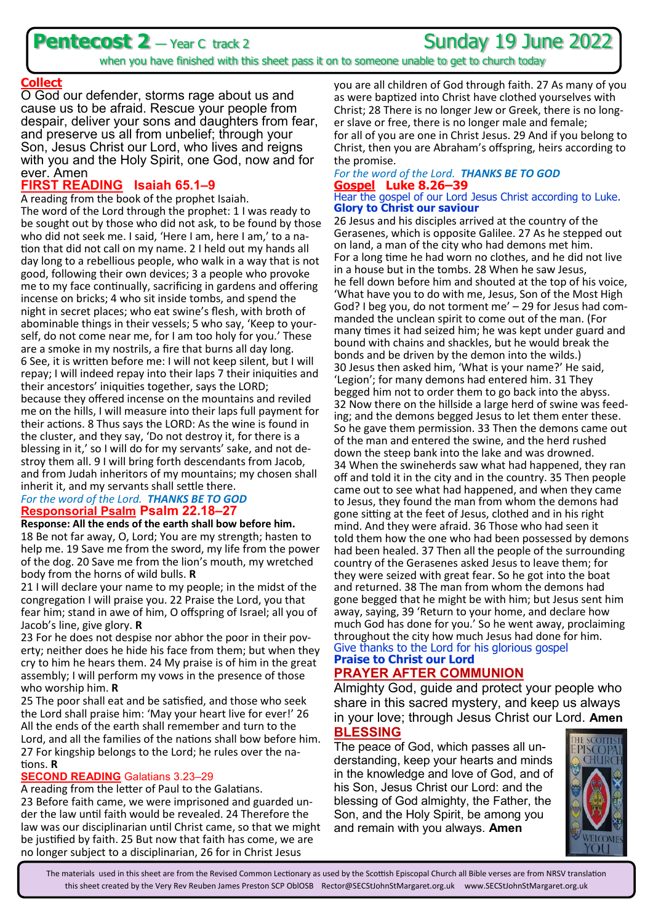## **Pentecost 2** — Year C track 2 Sunday 19 June 2022



when you have finished with this sheet pass it on to someone unable to get to church today

#### **Collect**

O God our defender, storms rage about us and cause us to be afraid. Rescue your people from despair, deliver your sons and daughters from fear, and preserve us all from unbelief; through your Son, Jesus Christ our Lord, who lives and reigns with you and the Holy Spirit, one God, now and for ever. Amen

### **FIRST READING Isaiah 65.1–9**

A reading from the book of the prophet Isaiah. The word of the Lord through the prophet: 1 I was ready to be sought out by those who did not ask, to be found by those who did not seek me. I said, 'Here I am, here I am,' to a nation that did not call on my name. 2 I held out my hands all day long to a rebellious people, who walk in a way that is not good, following their own devices; 3 a people who provoke me to my face continually, sacrificing in gardens and offering incense on bricks; 4 who sit inside tombs, and spend the night in secret places; who eat swine's flesh, with broth of abominable things in their vessels; 5 who say, 'Keep to yourself, do not come near me, for I am too holy for you.' These are a smoke in my nostrils, a fire that burns all day long. 6 See, it is written before me: I will not keep silent, but I will repay; I will indeed repay into their laps 7 their iniquities and their ancestors' iniquities together, says the LORD; because they offered incense on the mountains and reviled me on the hills, I will measure into their laps full payment for their actions. 8 Thus says the LORD: As the wine is found in the cluster, and they say, 'Do not destroy it, for there is a blessing in it,' so I will do for my servants' sake, and not destroy them all. 9 I will bring forth descendants from Jacob, and from Judah inheritors of my mountains; my chosen shall inherit it, and my servants shall settle there.

#### *For the word of the Lord. THANKS BE TO GOD* **Responsorial Psalm Psalm 22.18–27**

**Response: All the ends of the earth shall bow before him.**

18 Be not far away, O, Lord; You are my strength; hasten to help me. 19 Save me from the sword, my life from the power of the dog. 20 Save me from the lion's mouth, my wretched body from the horns of wild bulls. **R**

21 I will declare your name to my people; in the midst of the congregation I will praise you. 22 Praise the Lord, you that fear him; stand in awe of him, O offspring of Israel; all you of Jacob's line, give glory. **R**

23 For he does not despise nor abhor the poor in their poverty; neither does he hide his face from them; but when they cry to him he hears them. 24 My praise is of him in the great assembly; I will perform my vows in the presence of those who worship him. **R**

25 The poor shall eat and be satisfied, and those who seek the Lord shall praise him: 'May your heart live for ever!' 26 All the ends of the earth shall remember and turn to the Lord, and all the families of the nations shall bow before him. 27 For kingship belongs to the Lord; he rules over the nations. **R**

#### **SECOND READING** Galatians 3.23–29

A reading from the letter of Paul to the Galatians. 23 Before faith came, we were imprisoned and guarded under the law until faith would be revealed. 24 Therefore the law was our disciplinarian until Christ came, so that we might be justified by faith. 25 But now that faith has come, we are no longer subject to a disciplinarian, 26 for in Christ Jesus

you are all children of God through faith. 27 As many of you as were baptized into Christ have clothed yourselves with Christ; 28 There is no longer Jew or Greek, there is no longer slave or free, there is no longer male and female; for all of you are one in Christ Jesus. 29 And if you belong to Christ, then you are Abraham's offspring, heirs according to the promise.

#### *For the word of the Lord. THANKS BE TO GOD* **Gospel Luke 8.26–39** Hear the gospel of our Lord Jesus Christ according to Luke. **Glory to Christ our saviour**

26 Jesus and his disciples arrived at the country of the Gerasenes, which is opposite Galilee. 27 As he stepped out on land, a man of the city who had demons met him. For a long time he had worn no clothes, and he did not live in a house but in the tombs. 28 When he saw Jesus, he fell down before him and shouted at the top of his voice, 'What have you to do with me, Jesus, Son of the Most High God? I beg you, do not torment me' – 29 for Jesus had commanded the unclean spirit to come out of the man. (For many times it had seized him; he was kept under guard and bound with chains and shackles, but he would break the bonds and be driven by the demon into the wilds.) 30 Jesus then asked him, 'What is your name?' He said, 'Legion'; for many demons had entered him. 31 They begged him not to order them to go back into the abyss. 32 Now there on the hillside a large herd of swine was feeding; and the demons begged Jesus to let them enter these. So he gave them permission. 33 Then the demons came out of the man and entered the swine, and the herd rushed down the steep bank into the lake and was drowned. 34 When the swineherds saw what had happened, they ran off and told it in the city and in the country. 35 Then people came out to see what had happened, and when they came to Jesus, they found the man from whom the demons had gone sitting at the feet of Jesus, clothed and in his right mind. And they were afraid. 36 Those who had seen it told them how the one who had been possessed by demons had been healed. 37 Then all the people of the surrounding country of the Gerasenes asked Jesus to leave them; for they were seized with great fear. So he got into the boat and returned. 38 The man from whom the demons had gone begged that he might be with him; but Jesus sent him away, saying, 39 'Return to your home, and declare how much God has done for you.' So he went away, proclaiming throughout the city how much Jesus had done for him. Give thanks to the Lord for his glorious gospel

#### **Praise to Christ our Lord PRAYER AFTER COMMUNION**

Almighty God, guide and protect your people who share in this sacred mystery, and keep us always in your love; through Jesus Christ our Lord. **Amen**

### **BLESSING**

The peace of God, which passes all understanding, keep your hearts and minds in the knowledge and love of God, and of his Son, Jesus Christ our Lord: and the blessing of God almighty, the Father, the Son, and the Holy Spirit, be among you and remain with you always. **Amen**



The materials used in this sheet are from the Revised Common Lectionary as used by the Scottish Episcopal Church all Bible verses are from NRSV translation this sheet created by the Very Rev Reuben James Preston SCP OblOSB Rector@SECStJohnStMargaret.org.uk www.SECStJohnStMargaret.org.uk